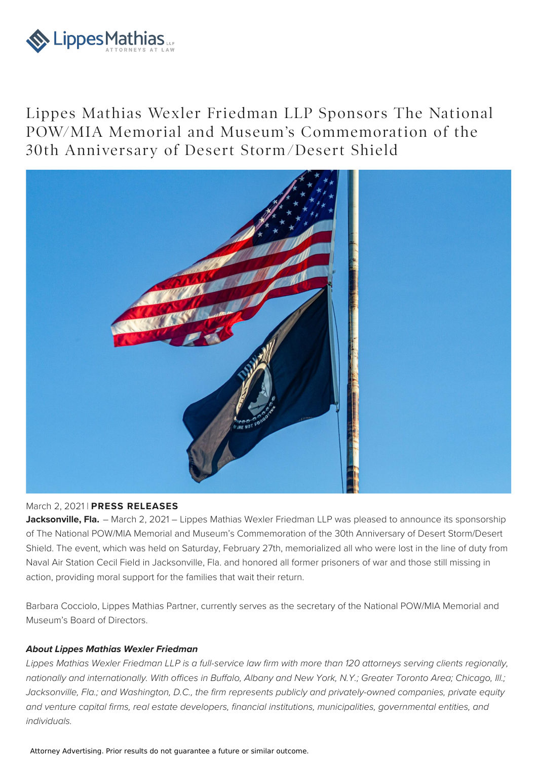

Lippes Mathias Wexler Friedman LLP Sponsors The National POW/MIA Memorial and Museum's Commemoration of the 30th Anniversary of Desert Storm /Desert Shield



## March 2, 2021 | **PRESS RELEASES**

**Jacksonville, Fla.** – March 2, 2021 – Lippes Mathias Wexler Friedman LLP was pleased to announce its sponsorship of The National POW/MIA Memorial and Museum's Commemoration of the 30th Anniversary of Desert Storm/Desert Shield. The event, which was held on Saturday, February 27th, memorialized all who were lost in the line of duty from Naval Air Station Cecil Field in Jacksonville, Fla. and honored all former prisoners of war and those still missing in action, providing moral support for the families that wait their return.

Barbara Cocciolo, Lippes Mathias Partner, currently serves as the secretary of the National POW/MIA Memorial and Museum's Board of Directors.

## **About Lippes Mathias Wexler Friedman**

Lippes Mathias Wexler Friedman LLP is a full-service law firm with more than 120 attorneys serving clients regionally, nationally and internationally. With offices in Buffalo, Albany and New York, N.Y.; Greater Toronto Area; Chicago, Ill.; Jacksonville, Fla.; and Washington, D.C., the firm represents publicly and privately-owned companies, private equity and venture capital firms, real estate developers, financial institutions, municipalities, governmental entities, and individuals.

Attorney Advertising. Prior results do not guarantee a future or similar outcome.